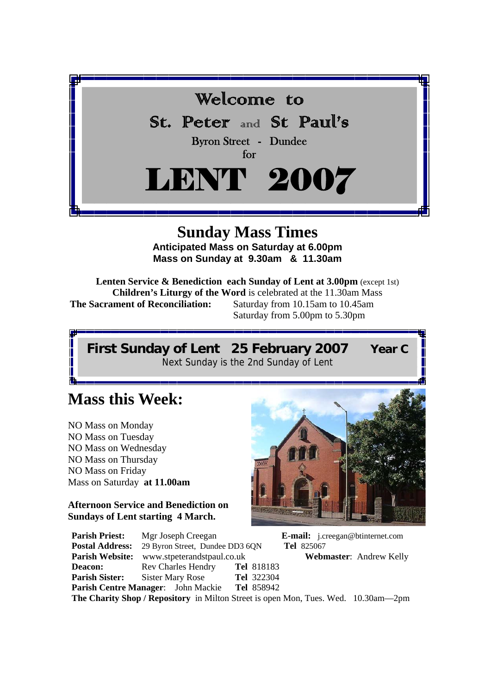

# **Sunday Mass Times**

**Anticipated Mass on Saturday at 6.00pm Mass on Sunday at 9.30am & 11.30am** 

**Lenten Service & Benediction each Sunday of Lent at 3.00pm** (except 1st) **Children's Liturgy of the Word** is celebrated at the 11.30am Mass **The Sacrament of Reconciliation:** Saturday from 10.15am to 10.45am Saturday from 5.00pm to 5.30pm

**First Sunday of Lent 25 February 2007 Year C** Next Sunday is the 2nd Sunday of Lent

# **Mass this Week:**

NO Mass on Monday NO Mass on Tuesday NO Mass on Wednesday NO Mass on Thursday NO Mass on Friday Mass on Saturday **at 11.00am** 

#### **Afternoon Service and Benediction on Sundays of Lent starting 4 March.**

**Deacon:** Rev Charles Hendry **Tel** 818183 **Parish Sister:** Sister Mary Rose **Tel** 322304



**Parish Priest:** Mgr Joseph Creegan **E-mail:** j.creegan@btinternet.com **Postal Address:** 29 Byron Street, Dundee DD3 6QN **Tel** 825067

**Parish Website:** www.stpeterandstpaul.co.uk **Webmaster**: Andrew Kelly

**Parish Centre Manager**: John Mackie **Tel** 858942 **The Charity Shop / Repository** in Milton Street is open Mon, Tues. Wed. 10.30am—2pm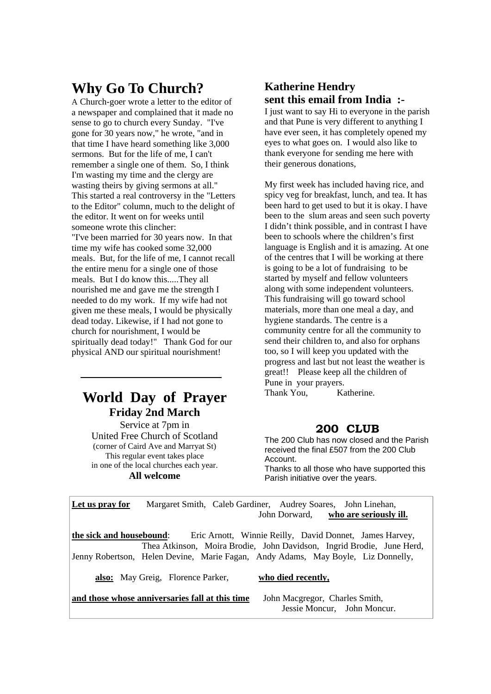# **Why Go To Church?**

A Church-goer wrote a letter to the editor of a newspaper and complained that it made no sense to go to church every Sunday. "I've gone for 30 years now," he wrote, "and in that time I have heard something like 3,000 sermons. But for the life of me, I can't remember a single one of them. So, I think I'm wasting my time and the clergy are wasting theirs by giving sermons at all." This started a real controversy in the "Letters to the Editor" column, much to the delight of the editor. It went on for weeks until someone wrote this clincher: "I've been married for 30 years now. In that time my wife has cooked some 32,000 meals. But, for the life of me, I cannot recall the entire menu for a single one of those meals. But I do know this.....They all nourished me and gave me the strength I needed to do my work. If my wife had not given me these meals, I would be physically dead today. Likewise, if I had not gone to church for nourishment, I would be spiritually dead today!" Thank God for our physical AND our spiritual nourishment!

## **World Day of Prayer Friday 2nd March**

Service at 7pm in United Free Church of Scotland (corner of Caird Ave and Marryat St) This regular event takes place in one of the local churches each year. **All welcome** 

### **Katherine Hendry sent this email from India :-**

I just want to say Hi to everyone in the parish and that Pune is very different to anything I have ever seen, it has completely opened my eyes to what goes on. I would also like to thank everyone for sending me here with their generous donations,

My first week has included having rice, and spicy veg for breakfast, lunch, and tea. It has been hard to get used to but it is okay. I have been to the slum areas and seen such poverty I didn't think possible, and in contrast I have been to schools where the children's first language is English and it is amazing. At one of the centres that I will be working at there is going to be a lot of fundraising to be started by myself and fellow volunteers along with some independent volunteers. This fundraising will go toward school materials, more than one meal a day, and hygiene standards. The centre is a community centre for all the community to send their children to, and also for orphans too, so I will keep you updated with the progress and last but not least the weather is great!! Please keep all the children of Pune in your prayers. Thank You. Katherine.

#### **200 CLUB**

The 200 Club has now closed and the Parish received the final £507 from the 200 Club Account.

Thanks to all those who have supported this Parish initiative over the years.

**Let us pray for** Margaret Smith, Caleb Gardiner, Audrey Soares, John Linehan, John Dorward, **who are seriously ill.**

**the sick and housebound**: Eric Arnott, Winnie Reilly, David Donnet, James Harvey, Thea Atkinson, Moira Brodie, John Davidson, Ingrid Brodie, June Herd, Jenny Robertson, Helen Devine, Marie Fagan, Andy Adams, May Boyle, Liz Donnelly,

 **also:** May Greig, Florence Parker, **who died recently,** 

**and those whose anniversaries fall at this time** John Macgregor, Charles Smith,

# Jessie Moncur, John Moncur.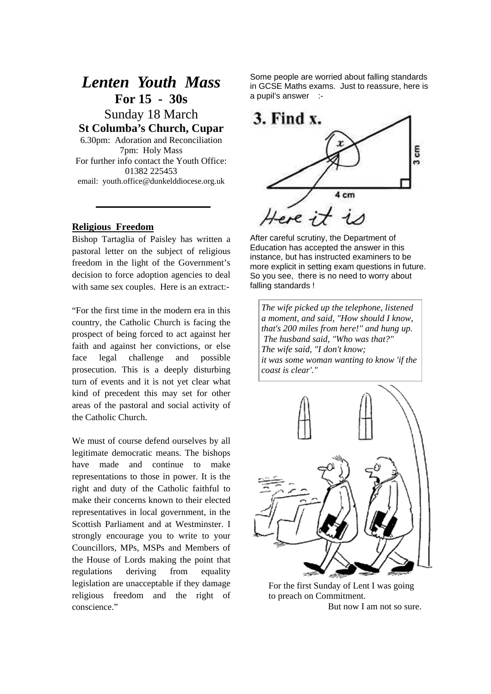## *Lenten Youth Mass*  **For 15 - 30s**

Sunday 18 March **St Columba's Church, Cupar** 

6.30pm: Adoration and Reconciliation 7pm: Holy Mass For further info contact the Youth Office: 01382 225453 email: youth.office@dunkelddiocese.org.uk

#### **Religious Freedom**

Bishop Tartaglia of Paisley has written a pastoral letter on the subject of religious freedom in the light of the Government's decision to force adoption agencies to deal with same sex couples. Here is an extract:-

"For the first time in the modern era in this country, the Catholic Church is facing the prospect of being forced to act against her faith and against her convictions, or else face legal challenge and possible prosecution. This is a deeply disturbing turn of events and it is not yet clear what kind of precedent this may set for other areas of the pastoral and social activity of the Catholic Church.

We must of course defend ourselves by all legitimate democratic means. The bishops have made and continue to make representations to those in power. It is the right and duty of the Catholic faithful to make their concerns known to their elected representatives in local government, in the Scottish Parliament and at Westminster. I strongly encourage you to write to your Councillors, MPs, MSPs and Members of the House of Lords making the point that regulations deriving from equality legislation are unacceptable if they damage religious freedom and the right of conscience."

Some people are worried about falling standards in GCSE Maths exams. Just to reassure, here is a pupil's answer :-



After careful scrutiny, the Department of Education has accepted the answer in this instance, but has instructed examiners to be more explicit in setting exam questions in future. So you see, there is no need to worry about falling standards !

*The wife picked up the telephone, listened a moment, and said, "How should I know, that's 200 miles from here!" and hung up. The husband said, "Who was that?" The wife said, "I don't know; it was some woman wanting to know 'if the coast is clear'."* 



For the first Sunday of Lent I was going to preach on Commitment.

But now I am not so sure.